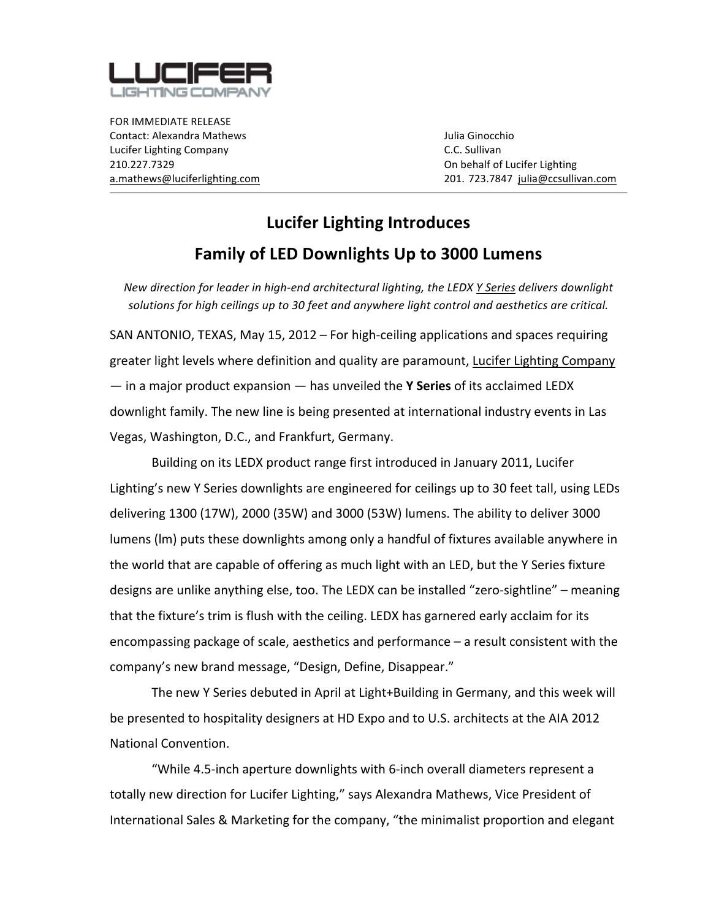

FOR
IMMEDIATE
RELEASE Contact:
Alexandra
Mathews Julia
Ginocchio Lucifer
Lighting
Company C.C.
Sullivan 210.227.7329 On
behalf
of
Lucifer
Lighting

a.mathews@luciferlighting.com 201. 723.7847

julia@ccsullivan.com

## **Lucifer
Lighting
Introduces Family
of
LED
Downlights
Up
to
3000
Lumens**

New direction for leader in high-end architectural lighting, the LEDX Y Series delivers downlight solutions for high ceilings up to 30 feet and anywhere light control and aesthetics are critical.

SAN ANTONIO, TEXAS, May 15, 2012 – For high-ceiling applications and spaces requiring greater
light
levels
where
definition
and
quality
are
paramount, Lucifer
Lighting
Company  $-$  in a major product expansion  $-$  has unveiled the **Y Series** of its acclaimed LEDX downlight family. The new line is being presented at international industry events in Las Vegas,
Washington,
D.C.,
and
Frankfurt,
Germany.

Building
on
its
LEDX
product
range
first
introduced
in
January
2011,
Lucifer Lighting's new Y Series downlights are engineered for ceilings up to 30 feet tall, using LEDs delivering 1300 (17W), 2000 (35W) and 3000 (53W) lumens. The ability to deliver 3000 lumens
(lm)
puts
these
downlights
among
only
a
handful
of
fixtures
available
anywhere
in the
world
that
are
capable
of
offering
as
much
light
with
an
LED,
but
the
Y
Series
fixture designs are unlike anything else, too. The LEDX can be installed "zero-sightline" – meaning that
the
fixture's
trim
is
flush
with
the
ceiling.
LEDX
has
garnered
early
acclaim
for
its encompassing
package
of
scale,
aesthetics
and
performance
–
a
result
consistent
with
the company's
new
brand
message,
"Design,
Define,
Disappear."

The new Y Series debuted in April at Light+Building in Germany, and this week will be presented to hospitality designers at HD Expo and to U.S. architects at the AIA 2012 National
Convention.

"While
4.5‐inch
aperture
downlights
with
6‐inch
overall
diameters
represent
a totally new direction for Lucifer Lighting," says Alexandra Mathews, Vice President of International Sales & Marketing for the company, "the minimalist proportion and elegant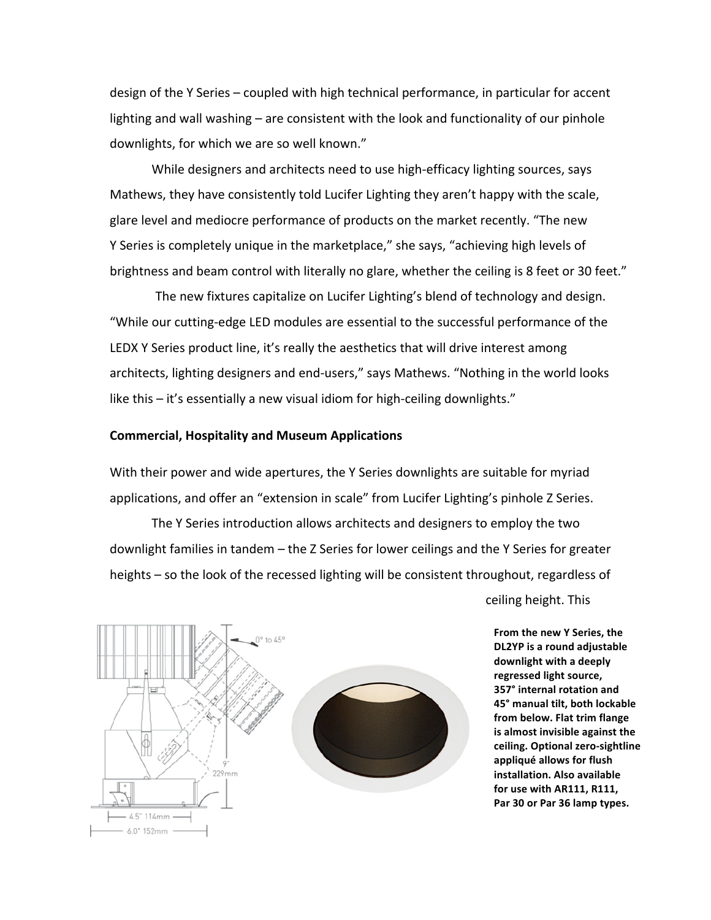design of the Y Series – coupled with high technical performance, in particular for accent lighting and wall washing – are consistent with the look and functionality of our pinhole downlights, for which we are so well known."

While designers and architects need to use high-efficacy lighting sources, says Mathews, they have consistently told Lucifer Lighting they aren't happy with the scale, glare
level
and
mediocre
performance
of
products
on
the
market
recently.
"The
new Y Series is completely unique in the marketplace," she says, "achieving high levels of brightness and beam control with literally no glare, whether the ceiling is 8 feet or 30 feet."

The
new
fixtures
capitalize
on
Lucifer
Lighting's
blend
of
technology
and
design. "While
our
cutting‐edge
LED
modules
are
essential
to
the
successful
performance
of
the LEDX Y Series product line, it's really the aesthetics that will drive interest among architects, lighting designers and end-users," says Mathews. "Nothing in the world looks like this - it's essentially a new visual idiom for high-ceiling downlights."

## **Commercial,
Hospitality
and
Museum
Applications**

With their power and wide apertures, the Y Series downlights are suitable for myriad applications, and offer an "extension in scale" from Lucifer Lighting's pinhole Z Series.

The Y Series introduction allows architects and designers to employ the two downlight families in tandem - the Z Series for lower ceilings and the Y Series for greater heights - so the look of the recessed lighting will be consistent throughout, regardless of



ceiling
height.
This

**From
the
new
Y
Series,
the DL2YP
is
a
round
adjustable downlight
with
a
deeply regressed
light
source, 357°
internal
rotation
and 45°
manual
tilt,
both
lockable from
below.
Flat
trim
flange is
almost
invisible
against
the ceiling.
Optional
zero‐sightline appliqué
allows
for
flush installation.
Also
available for
use
with
AR111,
R111, Par
30
or
Par
36
lamp
types.**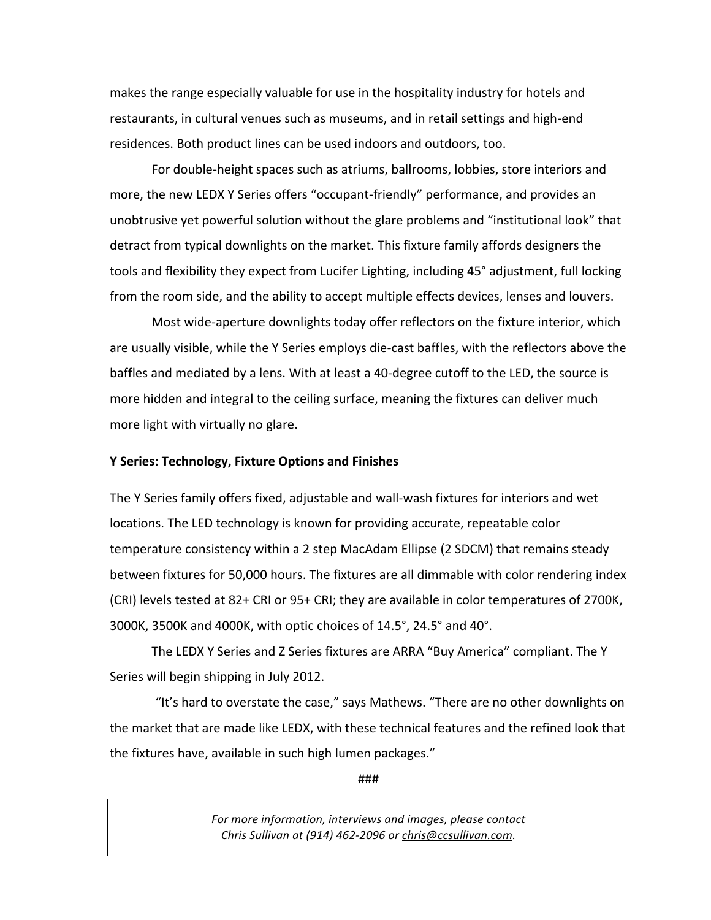makes the range especially valuable for use in the hospitality industry for hotels and restaurants, in cultural venues such as museums, and in retail settings and high-end residences.
Both
product
lines
can
be
used
indoors
and
outdoors,
too.

For double-height spaces such as atriums, ballrooms, lobbies, store interiors and more, the new LEDX Y Series offers "occupant-friendly" performance, and provides an unobtrusive yet powerful solution without the glare problems and "institutional look" that detract
from
typical
downlights
on
the
market.
This
fixture
family
affords
designers
the tools and flexibility they expect from Lucifer Lighting, including 45° adjustment, full locking from the room side, and the ability to accept multiple effects devices, lenses and louvers.

Most wide-aperture downlights today offer reflectors on the fixture interior, which are usually visible, while the Y Series employs die-cast baffles, with the reflectors above the baffles and mediated by a lens. With at least a 40-degree cutoff to the LED, the source is more hidden and integral to the ceiling surface, meaning the fixtures can deliver much more
light
with
virtually
no
glare.

## **Y
Series:
Technology,
Fixture
Options
and
Finishes**

The Y Series family offers fixed, adjustable and wall-wash fixtures for interiors and wet locations. The LED technology is known for providing accurate, repeatable color temperature
consistency within
a
2
step
MacAdam
Ellipse
(2
SDCM)
that
remains
steady between fixtures for 50,000 hours. The fixtures are all dimmable with color rendering index (CRI)
levels
tested
at
82+
CRI
or
95+
CRI;
they
are
available
in
color
temperatures
of
2700K, 3000K, 3500K and 4000K, with optic choices of 14.5°, 24.5° and 40°.

The LEDX Y Series and Z Series fixtures are ARRA "Buy America" compliant. The Y Series
will
begin
shipping
in
July
2012.

"It's hard to overstate the case," says Mathews. "There are no other downlights on the market that are made like LEDX, with these technical features and the refined look that the
fixtures
have,
available
in
such
high
lumen
packages."

###

*For
more
information,
interviews
and
images,
please
contact Chris
Sullivan
at
(914)
462‐2096
or
chris@ccsullivan.com.*